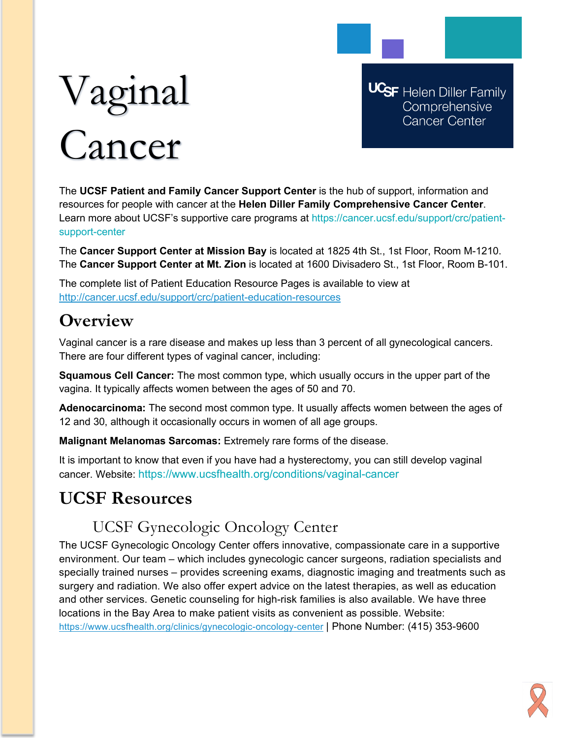# Vaginal Cancer

**UCSF** Helen Diller Family Comprehensive Cancer Center

The **UCSF Patient and Family Cancer Support Center** is the hub of support, information and resources for people with cancer at the **Helen Diller Family Comprehensive Cancer Center**. Learn more about UCSF's supportive care programs at https://cancer.ucsf.edu/support/crc/patientsupport-center

The **Cancer Support Center at Mission Bay** is located at 1825 4th St., 1st Floor, Room M-1210. The **Cancer Support Center at Mt. Zion** is located at 1600 Divisadero St., 1st Floor, Room B-101.

The complete list of Patient Education Resource Pages is available to view at <http://cancer.ucsf.edu/support/crc/patient-education-resources>

## **Overview**

Vaginal cancer is a rare disease and makes up less than 3 percent of all gynecological cancers. There are four different types of vaginal cancer, including:

**Squamous Cell Cancer:** The most common type, which usually occurs in the upper part of the vagina. It typically affects women between the ages of 50 and 70.

**Adenocarcinoma:** The second most common type. It usually affects women between the ages of 12 and 30, although it occasionally occurs in women of all age groups.

**Malignant Melanomas Sarcomas:** Extremely rare forms of the disease.

It is important to know that even if you have had a hysterectomy, you can still develop vaginal cancer. Website: https://www.ucsfhealth.org/conditions/vaginal-cancer

# **UCSF Resources**

## UCSF Gynecologic Oncology Center

The UCSF Gynecologic Oncology Center offers innovative, compassionate care in a supportive environment. Our team – which includes gynecologic cancer surgeons, radiation specialists and specially trained nurses – provides screening exams, diagnostic imaging and treatments such as surgery and radiation. We also offer expert advice on the latest therapies, as well as education and other services. Genetic counseling for high-risk families is also available. We have three locations in the Bay Area to make patient visits as convenient as possible. Website: <https://www.ucsfhealth.org/clinics/gynecologic-oncology-center> | Phone Number: (415) 353-9600

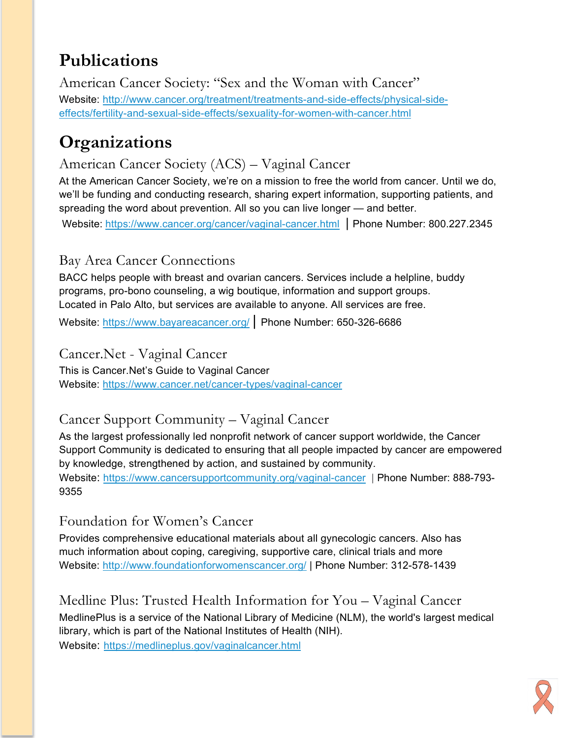# **Publications**

American Cancer Society: "Sex and the Woman with Cancer" Website: [http://www.cancer.org/treatment/treatments-and-side-effects/physical-side](http://www.cancer.org/treatment/treatments-and-side-effects/physical-side-effects/fertility-and-sexual-side-effects/sexuality-for-women-with-cancer.html)[effects/fertility-and-sexual-side-effects/sexuality-for-women-with-cancer.html](http://www.cancer.org/treatment/treatments-and-side-effects/physical-side-effects/fertility-and-sexual-side-effects/sexuality-for-women-with-cancer.html)

# **Organizations**

## American Cancer Society (ACS) – Vaginal Cancer

At the American Cancer Society, we're on a mission to free the world from cancer. Until we do, we'll be funding and conducting research, sharing expert information, supporting patients, and spreading the word about prevention. All so you can live longer — and better.

Website: <https://www.cancer.org/cancer/vaginal-cancer.html> | Phone Number: 800.227.2345

## Bay Area Cancer Connections

BACC helps people with breast and ovarian cancers. Services include a helpline, buddy programs, pro-bono counseling, a wig boutique, information and support groups. Located in Palo Alto, but services are available to anyone. All services are free.

Website:<https://www.bayareacancer.org/> | Phone Number: 650-326-6686

#### Cancer.Net - Vaginal Cancer

This is Cancer.Net's Guide to Vaginal Cancer Website:<https://www.cancer.net/cancer-types/vaginal-cancer>

## Cancer Support Community – Vaginal Cancer

As the largest professionally led nonprofit network of cancer support worldwide, the Cancer Support Community is dedicated to ensuring that all people impacted by cancer are empowered by knowledge, strengthened by action, and sustained by community. Website:<https://www.cancersupportcommunity.org/vaginal-cancer> | Phone Number: 888-793- 9355

#### Foundation for Women's Cancer

Provides comprehensive educational materials about all gynecologic cancers. Also has much information about coping, caregiving, supportive care, clinical trials and more Website:<http://www.foundationforwomenscancer.org/> | Phone Number: 312-578-1439

Medline Plus: Trusted Health Information for You – Vaginal Cancer MedlinePlus is a service of the National Library of Medicine (NLM), the world's largest medical library, which is part of the National Institutes of Health (NIH). Website: <https://medlineplus.gov/vaginalcancer.html>